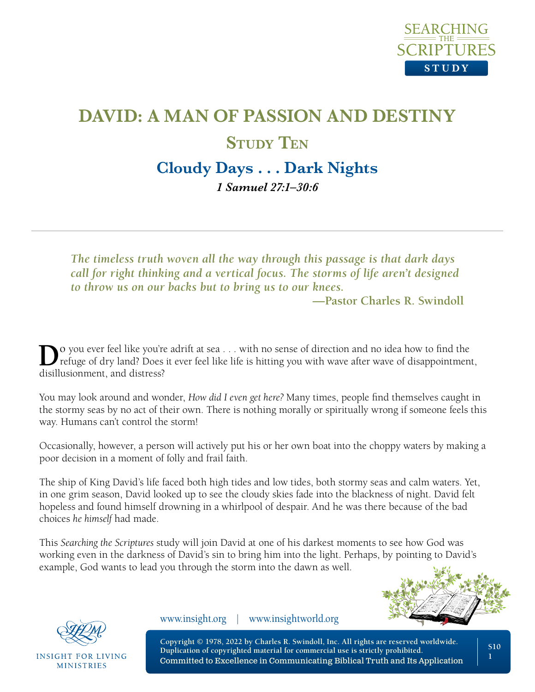

# **DAVID: A MAN OF PASSION AND DESTINY STUDY** TEN **Cloudy Days . . . Dark Nights**

*1 Samuel 27:1–30:6* 

*The timeless truth woven all the way through this passage is that dark days call for right thinking and a vertical focus. The storms of life aren't designed to throw us on our backs but to bring us to our knees.*

**—Pastor Charles R. Swindoll**

**D**<sup>o</sup> you ever feel like you're adrift at sea . . . with no sense of direction and no idea how to find the refuge of dry land? Does it ever feel like life is hitting you with wave after wave of disappointment, disillusionment, and distress?

You may look around and wonder, *How did I even get here?* Many times, people find themselves caught in the stormy seas by no act of their own. There is nothing morally or spiritually wrong if someone feels this way. Humans can't control the storm!

Occasionally, however, a person will actively put his or her own boat into the choppy waters by making a poor decision in a moment of folly and frail faith.

The ship of King David's life faced both high tides and low tides, both stormy seas and calm waters. Yet, in one grim season, David looked up to see the cloudy skies fade into the blackness of night. David felt hopeless and found himself drowning in a whirlpool of despair. And he was there because of the bad choices *he himself* had made.

This *Searching the Scriptures* study will join David at one of his darkest moments to see how God was working even in the darkness of David's sin to bring him into the light. Perhaps, by pointing to David's example, God wants to lead you through the storm into the dawn as well.





**INSIGHT FOR LIVING MINISTRIES** 

www.insight.org | www.insightworld.org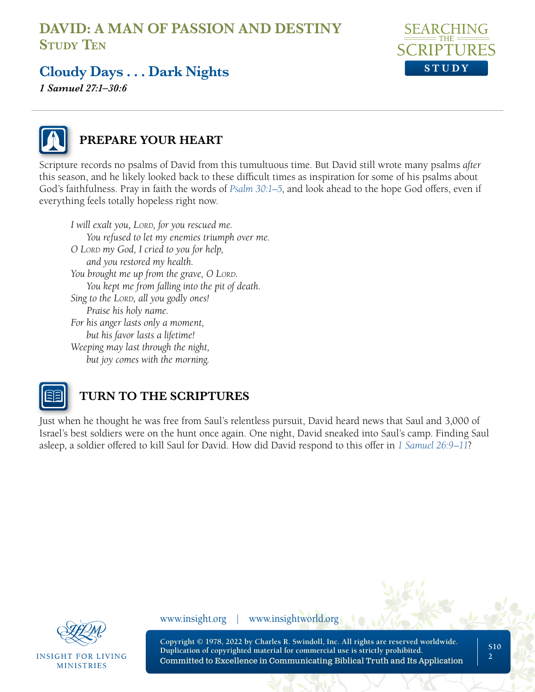

## **Cloudy Days . . . Dark Nights**

*1 Samuel 27:1–30:6* 



#### **PREPARE YOUR HEART**

Scripture records no psalms of David from this tumultuous time. But David still wrote many psalms *after* this season, and he likely looked back to these difficult times as inspiration for some of his psalms about God's faithfulness. Pray in faith the words of *[Psalm 30:1–5](https://www.biblegateway.com/passage/?search=Psalm+30&version=NLT;NASB1995)*, and look ahead to the hope God offers, even if everything feels totally hopeless right now.

*I* will exalt you, LORD, for you rescued me. *You refused to let my enemies triumph over me. O Lord my God, I cried to you for help, and you restored my health. You brought me up from the grave, O LORD. You kept me from falling into the pit of death.* Sing to the LORD, all you godly ones! *Praise his holy name. For his anger lasts only a moment, but his favor lasts a lifetime! Weeping may last through the night, but joy comes with the morning.* 



#### **TURN TO THE SCRIPTURES**

Just when he thought he was free from Saul's relentless pursuit, David heard news that Saul and 3,000 of Israel's best soldiers were on the hunt once again. One night, David sneaked into Saul's camp. Finding Saul asleep, a soldier offered to kill Saul for David. How did David respond to this offer in *[1 Samuel 26:9–11](https://www.biblegateway.com/passage/?search=+1+Samuel+26%3A9%E2%80%9311&version=NLT;NASB1995)*?



**INSIGHT FOR LIVING MINISTRIES** 

www.insight.org | www.insightworld.org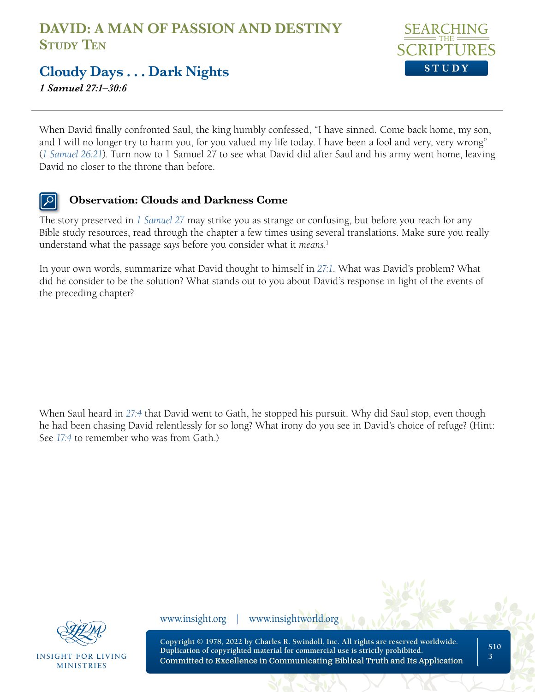

#### **Cloudy Days . . . Dark Nights**

*1 Samuel 27:1–30:6* 

When David finally confronted Saul, the king humbly confessed, "I have sinned. Come back home, my son, and I will no longer try to harm you, for you valued my life today. I have been a fool and very, very wrong" (*[1 Samuel 26:21](https://www.biblegateway.com/passage/?search=1+Samuel+26%3A21&version=NLT;NASB1995)*). Turn now to 1 Samuel 27 to see what David did after Saul and his army went home, leaving David no closer to the throne than before.

#### $\left| \mathcal{L} \right|$ **Observation: Clouds and Darkness Come**

The story preserved in *[1 Samuel 27](https://www.biblegateway.com/passage/?search=1+Samuel+27&version=NLT;NASB1995)* may strike you as strange or confusing, but before you reach for any Bible study resources, read through the chapter a few times using several translations. Make sure you really understand what the passage *says* before you consider what it *means*. 1

In your own words, summarize what David thought to himself in *[27:1](https://www.biblegateway.com/passage/?search=1+Samuel+27%3A1&version=NLT;NASB1995)*. What was David's problem? What did he consider to be the solution? What stands out to you about David's response in light of the events of the preceding chapter?

When Saul heard in *[27:4](https://www.biblegateway.com/passage/?search=1+Samuel+27%3A4&version=NLT;NASB1995)* that David went to Gath, he stopped his pursuit. Why did Saul stop, even though he had been chasing David relentlessly for so long? What irony do you see in David's choice of refuge? (Hint: See *[17:4](https://www.biblegateway.com/passage/?search=1+Samuel+17%3A4&version=NLT;NASB1995)* to remember who was from Gath.)



**INSIGHT FOR LIVING MINISTRIES** 

www.insight.org | www.insightworld.org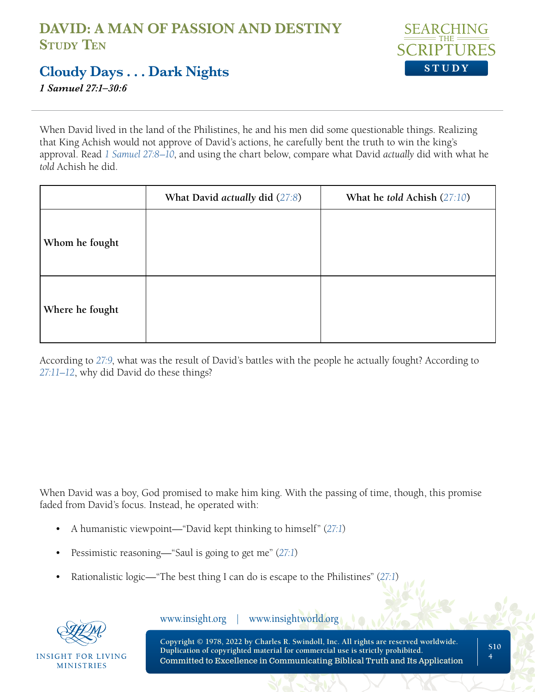

### **Cloudy Days . . . Dark Nights**

*1 Samuel 27:1–30:6* 

When David lived in the land of the Philistines, he and his men did some questionable things. Realizing that King Achish would not approve of David's actions, he carefully bent the truth to win the king's approval. Read *[1 Samuel 27:8–10](https://www.biblegateway.com/passage/?search=1+Samuel+27%3A8%E2%80%9310&version=NLT;NASB1995)*, and using the chart below, compare what David *actually* did with what he *told* Achish he did.

|                 | What David actually did (27:8) | What he <i>told</i> Achish $(27:10)$ |
|-----------------|--------------------------------|--------------------------------------|
| Whom he fought  |                                |                                      |
| Where he fought |                                |                                      |

According to *[27:9](https://www.biblegateway.com/passage/?search=1+Samuel+27%3A9&version=NLT;NASB1995)*, what was the result of David's battles with the people he actually fought? According to *[27:11–12](https://www.biblegateway.com/passage/?search=1+Samuel+27%3A11%E2%80%9312&version=NLT;NASB1995)*, why did David do these things?

When David was a boy, God promised to make him king. With the passing of time, though, this promise faded from David's focus. Instead, he operated with:

- A humanistic viewpoint—"David kept thinking to himself" (*[27:1](https://www.biblegateway.com/passage/?search=1+Samuel+27%3A1&version=NLT;NASB1995)*)
- Pessimistic reasoning—"Saul is going to get me" (*[27:1](https://www.biblegateway.com/passage/?search=1+Samuel+27%3A1&version=NLT;NASB1995)*)
- Rationalistic logic—"The best thing I can do is escape to the Philistines" (*[27:1](https://www.biblegateway.com/passage/?search=1+Samuel+27%3A1&version=NLT;NASB1995)*)



**INSIGHT FOR LIVING MINISTRIES** 

www.insight.org | www.insightworld.org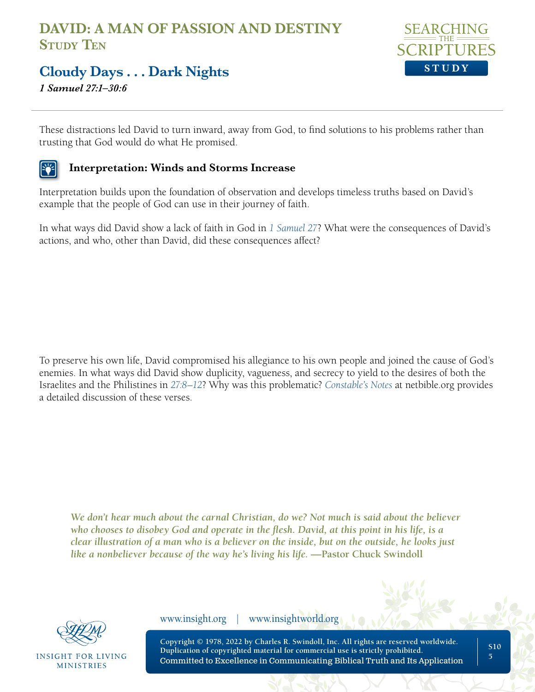

#### **Cloudy Days . . . Dark Nights**

*1 Samuel 27:1–30:6* 

These distractions led David to turn inward, away from God, to find solutions to his problems rather than trusting that God would do what He promised.

#### **Interpretation: Winds and Storms Increase**

Interpretation builds upon the foundation of observation and develops timeless truths based on David's example that the people of God can use in their journey of faith.

In what ways did David show a lack of faith in God in *[1 Samuel 27](https://www.biblegateway.com/passage/?search=1+Samuel+27&version=NLT;NASB1995)*? What were the consequences of David's actions, and who, other than David, did these consequences affect?

To preserve his own life, David compromised his allegiance to his own people and joined the cause of God's enemies. In what ways did David show duplicity, vagueness, and secrecy to yield to the desires of both the Israelites and the Philistines in *[27:8–12](https://www.biblegateway.com/passage/?search=1+Samuel+27%3A8%E2%80%9312&version=NLT;NASB1995)*? Why was this problematic? *[Constable's Notes](https://netbible.org/bible/1+Samuel+27)* at netbible.org provides a detailed discussion of these verses.

*We don't hear much about the carnal Christian, do we? Not much is said about the believer who chooses to disobey God and operate in the flesh. David, at this point in his life, is a clear illustration of a man who is a believer on the inside, but on the outside, he looks just like a nonbeliever because of the way he's living his life.* —Pastor Chuck Swindoll



INSIGHT FOR LIVING **MINISTRIES** 

www.insight.org | www.insightworld.org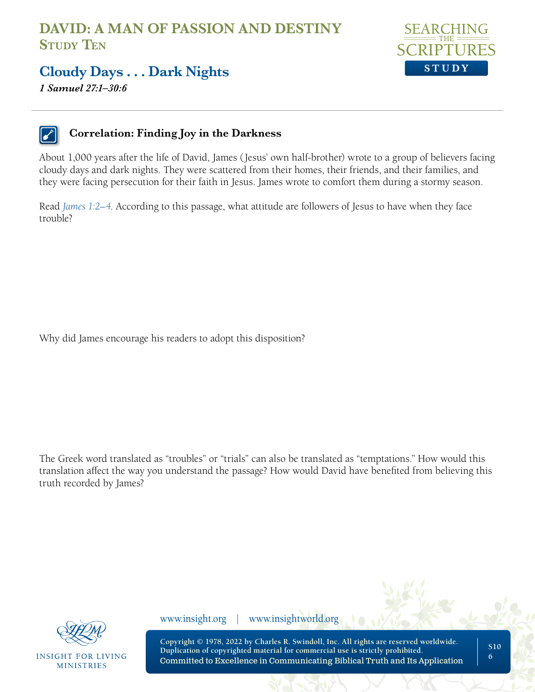

#### **Cloudy Days . . . Dark Nights**

*1 Samuel 27:1–30:6* 



#### **Correlation: Finding Joy in the Darkness**

About 1,000 years after the life of David, James (Jesus' own half-brother) wrote to a group of believers facing cloudy days and dark nights. They were scattered from their homes, their friends, and their families, and they were facing persecution for their faith in Jesus. James wrote to comfort them during a stormy season.

Read *[James 1:2–4](https://www.biblegateway.com/passage/?search=James%201%3A2%E2%80%934&version=NLT;NASB1995)*. According to this passage, what attitude are followers of Jesus to have when they face trouble?

Why did James encourage his readers to adopt this disposition?

The Greek word translated as "troubles" or "trials" can also be translated as "temptations." How would this translation affect the way you understand the passage? How would David have benefited from believing this truth recorded by James?



**INSIGHT FOR LIVING MINISTRIES** 

www.insight.org | www.insightworld.org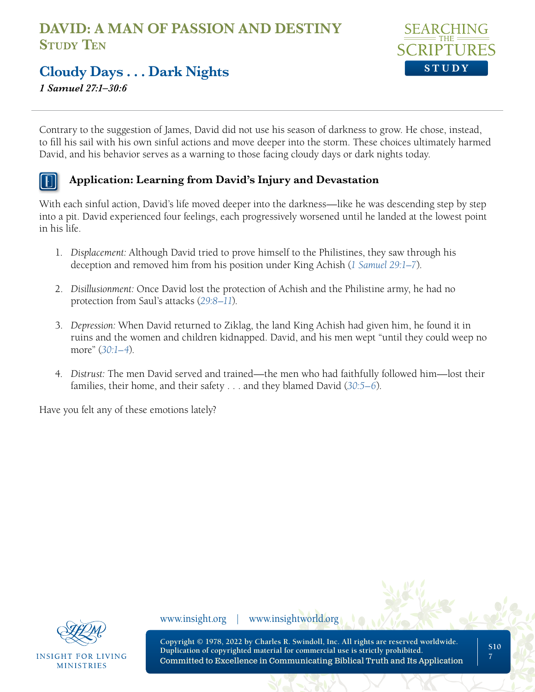

### **Cloudy Days . . . Dark Nights**

*1 Samuel 27:1–30:6* 

Contrary to the suggestion of James, David did not use his season of darkness to grow. He chose, instead, to fill his sail with his own sinful actions and move deeper into the storm. These choices ultimately harmed David, and his behavior serves as a warning to those facing cloudy days or dark nights today.

#### **Application: Learning from David's Injury and Devastation**

With each sinful action, David's life moved deeper into the darkness—like he was descending step by step into a pit. David experienced four feelings, each progressively worsened until he landed at the lowest point in his life.

- 1. *Displacement:* Although David tried to prove himself to the Philistines, they saw through his deception and removed him from his position under King Achish (*[1 Samuel 29:1–7](https://www.biblegateway.com/passage/?search=1+Samuel+29%3A1%E2%80%937&version=NLT;NASB1995)*).
- 2. *Disillusionment:* Once David lost the protection of Achish and the Philistine army, he had no protection from Saul's attacks (*[29:8–11](https://www.biblegateway.com/passage/?search=1+Samuel+29%3A8%E2%80%9311&version=NLT;NASB1995)*).
- 3. *Depression:* When David returned to Ziklag, the land King Achish had given him, he found it in ruins and the women and children kidnapped. David, and his men wept "until they could weep no more" (*[30:1–4](https://www.biblegateway.com/passage/?search=1+Samuel+30%3A1%E2%80%934&version=NLT;NASB1995)*).
- 4. *Distrust:* The men David served and trained—the men who had faithfully followed him—lost their families, their home, and their safety . . . and they blamed David (*[30:5–6](https://www.biblegateway.com/passage/?search=1+Samuel+30%3A5%E2%80%936&version=NLT;NASB1995)*).

Have you felt any of these emotions lately?



INSIGHT FOR LIVING **MINISTRIES** 

www.insight.org | www.insightworld.org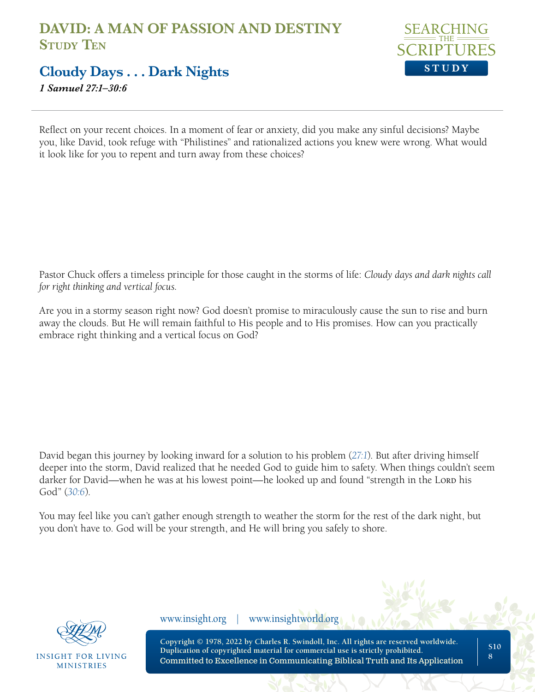

#### **Cloudy Days . . . Dark Nights**

*1 Samuel 27:1–30:6* 

Reflect on your recent choices. In a moment of fear or anxiety, did you make any sinful decisions? Maybe you, like David, took refuge with "Philistines" and rationalized actions you knew were wrong. What would it look like for you to repent and turn away from these choices?

Pastor Chuck offers a timeless principle for those caught in the storms of life: *Cloudy days and dark nights call for right thinking and vertical focus.*

Are you in a stormy season right now? God doesn't promise to miraculously cause the sun to rise and burn away the clouds. But He will remain faithful to His people and to His promises. How can you practically embrace right thinking and a vertical focus on God?

David began this journey by looking inward for a solution to his problem (*[27:1](https://www.biblegateway.com/passage/?search=1+Samuel+27%3A1&version=NLT;NASB1995)*). But after driving himself deeper into the storm, David realized that he needed God to guide him to safety. When things couldn't seem darker for David—when he was at his lowest point—he looked up and found "strength in the Lord his God" (*[30:6](https://www.biblegateway.com/passage/?search=1+Samuel+30%3A6&version=NLT;NASB1995)*).

You may feel like you can't gather enough strength to weather the storm for the rest of the dark night, but you don't have to. God will be your strength, and He will bring you safely to shore.



INSIGHT FOR LIVING **MINISTRIES** 

www.insight.org | www.insightworld.org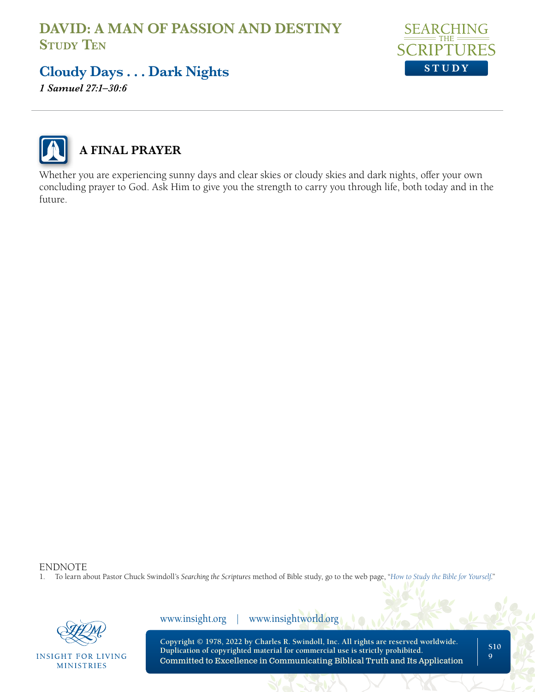

### **Cloudy Days . . . Dark Nights**

*1 Samuel 27:1–30:6* 



#### **A FINAL PRAYER**

Whether you are experiencing sunny days and clear skies or cloudy skies and dark nights, offer your own concluding prayer to God. Ask Him to give you the strength to carry you through life, both today and in the future.

ENDNOTE<br>1. To learn al

1. To learn about Pastor Chuck Swindoll's *Searching the Scriptures* method of Bible study, go to the web page, "*[How to Study the Bible for Yourself](https://sts.insight.org/)*."



**INSIGHT FOR LIVING MINISTRIES** 

www.insight.org | www.insightworld.org